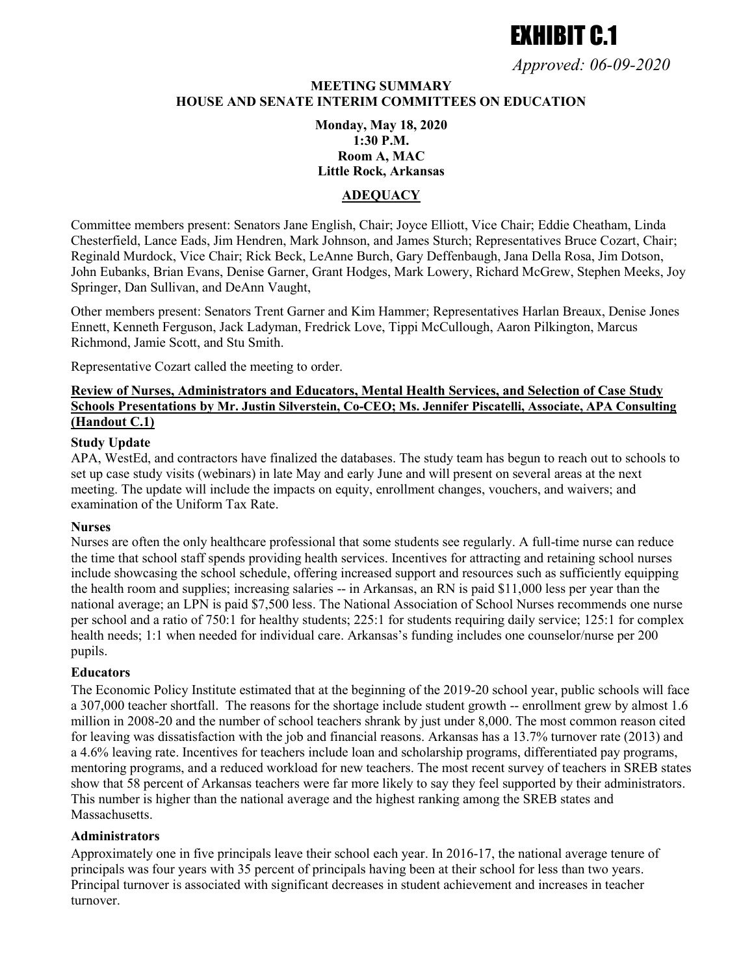# **EXHIRIT C.1**

*Approved: 06-09-2020*

## **MEETING SUMMARY HOUSE AND SENATE INTERIM COMMITTEES ON EDUCATION**

## **Monday, May 18, 2020 1:30 P.M. Room A, MAC Little Rock, Arkansas**

#### **ADEQUACY**

Committee members present: Senators Jane English, Chair; Joyce Elliott, Vice Chair; Eddie Cheatham, Linda Chesterfield, Lance Eads, Jim Hendren, Mark Johnson, and James Sturch; Representatives Bruce Cozart, Chair; Reginald Murdock, Vice Chair; Rick Beck, LeAnne Burch, Gary Deffenbaugh, Jana Della Rosa, Jim Dotson, John Eubanks, Brian Evans, Denise Garner, Grant Hodges, Mark Lowery, Richard McGrew, Stephen Meeks, Joy Springer, Dan Sullivan, and DeAnn Vaught,

Other members present: Senators Trent Garner and Kim Hammer; Representatives Harlan Breaux, Denise Jones Ennett, Kenneth Ferguson, Jack Ladyman, Fredrick Love, Tippi McCullough, Aaron Pilkington, Marcus Richmond, Jamie Scott, and Stu Smith.

Representative Cozart called the meeting to order.

#### **Review of Nurses, Administrators and Educators, Mental Health Services, and Selection of Case Study Schools Presentations by Mr. Justin Silverstein, Co-CEO; Ms. Jennifer Piscatelli, Associate, APA Consulting (Handout C.1)**

#### **Study Update**

APA, WestEd, and contractors have finalized the databases. The study team has begun to reach out to schools to set up case study visits (webinars) in late May and early June and will present on several areas at the next meeting. The update will include the impacts on equity, enrollment changes, vouchers, and waivers; and examination of the Uniform Tax Rate.

#### **Nurses**

Nurses are often the only healthcare professional that some students see regularly. A full-time nurse can reduce the time that school staff spends providing health services. Incentives for attracting and retaining school nurses include showcasing the school schedule, offering increased support and resources such as sufficiently equipping the health room and supplies; increasing salaries -- in Arkansas, an RN is paid \$11,000 less per year than the national average; an LPN is paid \$7,500 less. The National Association of School Nurses recommends one nurse per school and a ratio of 750:1 for healthy students; 225:1 for students requiring daily service; 125:1 for complex health needs; 1:1 when needed for individual care. Arkansas's funding includes one counselor/nurse per 200 pupils.

#### **Educators**

The Economic Policy Institute estimated that at the beginning of the 2019-20 school year, public schools will face a 307,000 teacher shortfall. The reasons for the shortage include student growth -- enrollment grew by almost 1.6 million in 2008-20 and the number of school teachers shrank by just under 8,000. The most common reason cited for leaving was dissatisfaction with the job and financial reasons. Arkansas has a 13.7% turnover rate (2013) and a 4.6% leaving rate. Incentives for teachers include loan and scholarship programs, differentiated pay programs, mentoring programs, and a reduced workload for new teachers. The most recent survey of teachers in SREB states show that 58 percent of Arkansas teachers were far more likely to say they feel supported by their administrators. This number is higher than the national average and the highest ranking among the SREB states and Massachusetts.

#### **Administrators**

Approximately one in five principals leave their school each year. In 2016-17, the national average tenure of principals was four years with 35 percent of principals having been at their school for less than two years. Principal turnover is associated with significant decreases in student achievement and increases in teacher turnover.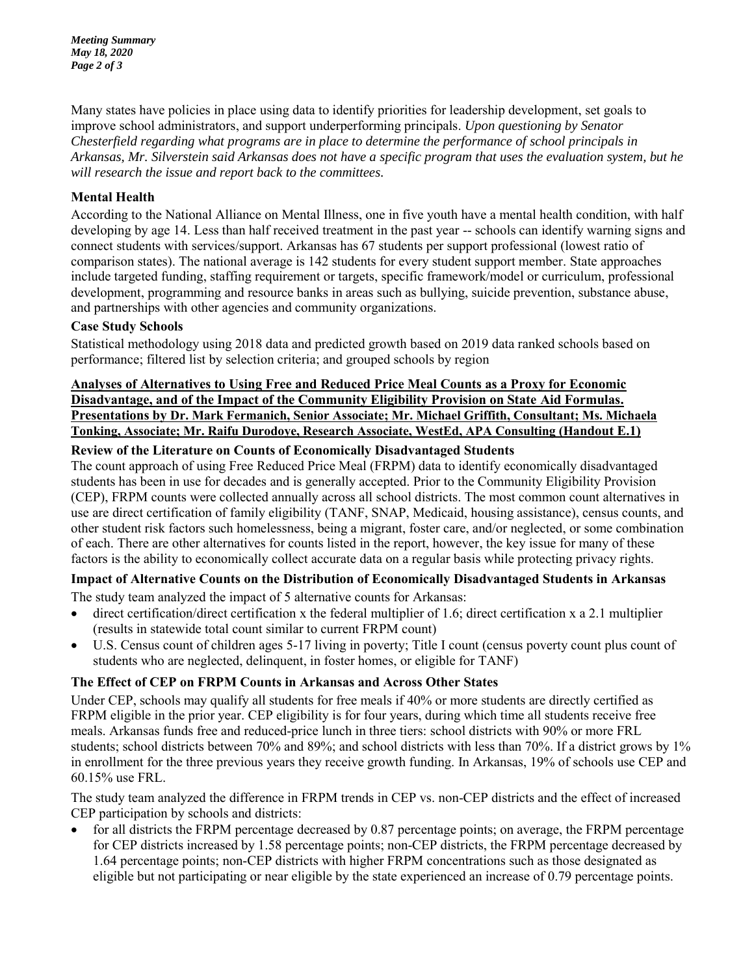*Meeting Summary May 18, 2020 Page 2 of 3* 

Many states have policies in place using data to identify priorities for leadership development, set goals to improve school administrators, and support underperforming principals. *Upon questioning by Senator Chesterfield regarding what programs are in place to determine the performance of school principals in Arkansas, Mr. Silverstein said Arkansas does not have a specific program that uses the evaluation system, but he will research the issue and report back to the committees.* 

## **Mental Health**

According to the National Alliance on Mental Illness, one in five youth have a mental health condition, with half developing by age 14. Less than half received treatment in the past year -- schools can identify warning signs and connect students with services/support. Arkansas has 67 students per support professional (lowest ratio of comparison states). The national average is 142 students for every student support member. State approaches include targeted funding, staffing requirement or targets, specific framework/model or curriculum, professional development, programming and resource banks in areas such as bullying, suicide prevention, substance abuse, and partnerships with other agencies and community organizations.

## **Case Study Schools**

Statistical methodology using 2018 data and predicted growth based on 2019 data ranked schools based on performance; filtered list by selection criteria; and grouped schools by region

## **Analyses of Alternatives to Using Free and Reduced Price Meal Counts as a Proxy for Economic Disadvantage, and of the Impact of the Community Eligibility Provision on State Aid Formulas. Presentations by Dr. Mark Fermanich, Senior Associate; Mr. Michael Griffith, Consultant; Ms. Michaela Tonking, Associate; Mr. Raifu Durodoye, Research Associate, WestEd, APA Consulting (Handout E.1)**

## **Review of the Literature on Counts of Economically Disadvantaged Students**

The count approach of using Free Reduced Price Meal (FRPM) data to identify economically disadvantaged students has been in use for decades and is generally accepted. Prior to the Community Eligibility Provision (CEP), FRPM counts were collected annually across all school districts. The most common count alternatives in use are direct certification of family eligibility (TANF, SNAP, Medicaid, housing assistance), census counts, and other student risk factors such homelessness, being a migrant, foster care, and/or neglected, or some combination of each. There are other alternatives for counts listed in the report, however, the key issue for many of these factors is the ability to economically collect accurate data on a regular basis while protecting privacy rights.

## **Impact of Alternative Counts on the Distribution of Economically Disadvantaged Students in Arkansas**

The study team analyzed the impact of 5 alternative counts for Arkansas:

- direct certification/direct certification x the federal multiplier of 1.6; direct certification x a 2.1 multiplier (results in statewide total count similar to current FRPM count)
- U.S. Census count of children ages 5-17 living in poverty; Title I count (census poverty count plus count of students who are neglected, delinquent, in foster homes, or eligible for TANF)

## **The Effect of CEP on FRPM Counts in Arkansas and Across Other States**

Under CEP, schools may qualify all students for free meals if 40% or more students are directly certified as FRPM eligible in the prior year. CEP eligibility is for four years, during which time all students receive free meals. Arkansas funds free and reduced-price lunch in three tiers: school districts with 90% or more FRL students; school districts between 70% and 89%; and school districts with less than 70%. If a district grows by 1% in enrollment for the three previous years they receive growth funding. In Arkansas, 19% of schools use CEP and 60.15% use FRL.

The study team analyzed the difference in FRPM trends in CEP vs. non-CEP districts and the effect of increased CEP participation by schools and districts:

 for all districts the FRPM percentage decreased by 0.87 percentage points; on average, the FRPM percentage for CEP districts increased by 1.58 percentage points; non-CEP districts, the FRPM percentage decreased by 1.64 percentage points; non-CEP districts with higher FRPM concentrations such as those designated as eligible but not participating or near eligible by the state experienced an increase of 0.79 percentage points.